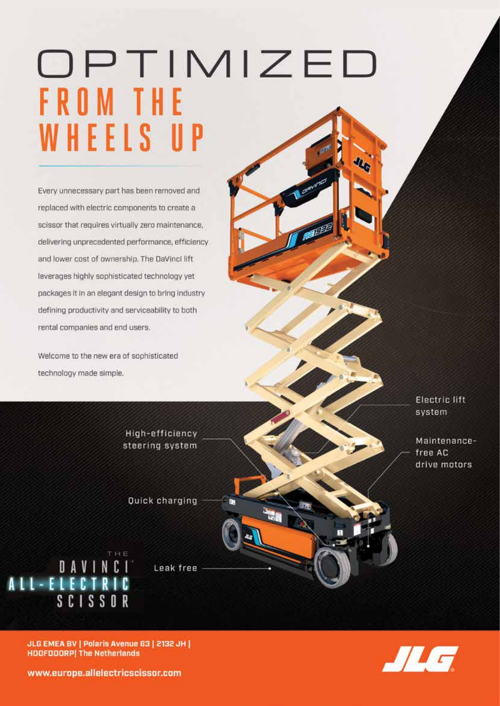## OPTIMIZED FROM THE WHEELS UP

Every unnecessary part has been removed and replaced with electric components to create a scissor that requires virtually zero maintenance, delivering unprecedented performance, efficiency and lower cost of ownership. The DaVinci lift leverages highly sophisticated technology yet packages it in an elegant design to bring industry defining productivity and serviceability to both rental companies and end users.

Welcome to the new era of sophisticated technology made simple.

> Electric lift system

Maintenancefree AC drive motors

**Quick charging** 

High-efficiency

steering system

ALL-ELECTRIC<br>ALL-ELECTRIC<br>SCISSOR

Leak free



JLG EMEA BV | Polaris Avenue 63 | 2132 JH | **HOOFDOORP| The Netherlands** 

www.europe.allelectricscissor.com